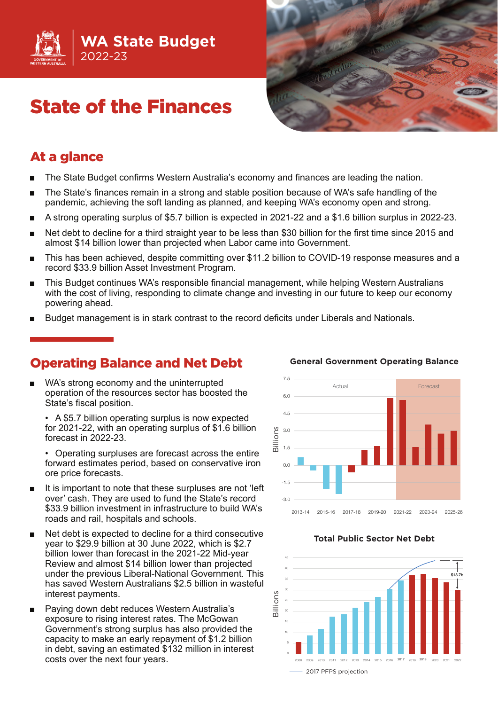

# State of the Finances



### At a glance

- The State Budget confirms Western Australia's economy and finances are leading the nation.
- The State's finances remain in a strong and stable position because of WA's safe handling of the pandemic, achieving the soft landing as planned, and keeping WA's economy open and strong.
- A strong operating surplus of \$5.7 billion is expected in 2021-22 and a \$1.6 billion surplus in 2022-23.
- Net debt to decline for a third straight year to be less than \$30 billion for the first time since 2015 and almost \$14 billion lower than projected when Labor came into Government.
- This has been achieved, despite committing over \$11.2 billion to COVID-19 response measures and a record \$33.9 billion Asset Investment Program.
- This Budget continues WA's responsible financial management, while helping Western Australians with the cost of living, responding to climate change and investing in our future to keep our economy powering ahead.
- Budget management is in stark contrast to the record deficits under Liberals and Nationals.

### Operating Balance and Net Debt

WA's strong economy and the uninterrupted operation of the resources sector has boosted the State's fiscal position.

• A \$5.7 billion operating surplus is now expected for 2021-22, with an operating surplus of \$1.6 billion forecast in 2022-23.

• Operating surpluses are forecast across the entire forward estimates period, based on conservative iron ore price forecasts.

- It is important to note that these surpluses are not 'left over' cash. They are used to fund the State's record \$33.9 billion investment in infrastructure to build WA's roads and rail, hospitals and schools.
- Net debt is expected to decline for a third consecutive year to \$29.9 billion at 30 June 2022, which is \$2.7 billion lower than forecast in the 2021-22 Mid-year Review and almost \$14 billion lower than projected under the previous Liberal-National Government. This has saved Western Australians \$2.5 billion in wasteful interest payments.
- Paying down debt reduces Western Australia's exposure to rising interest rates. The McGowan Government's strong surplus has also provided the capacity to make an early repayment of \$1.2 billion in debt, saving an estimated \$132 million in interest costs over the next four years.



#### **General Government Operating Balance**

#### **Total Public Sector Net Debt**

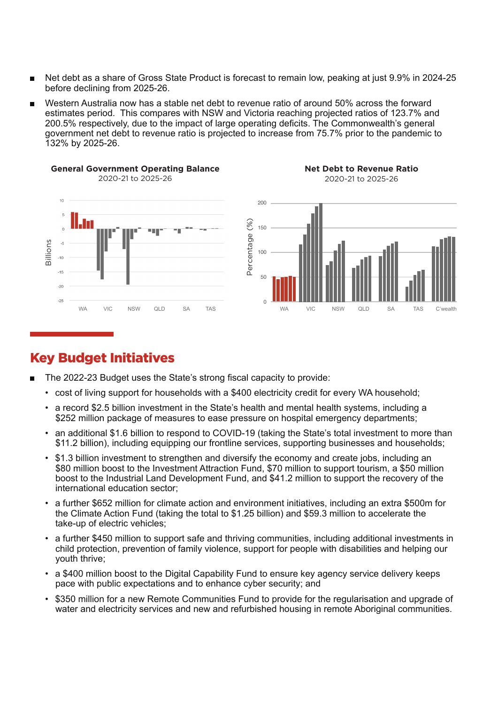- Net debt as a share of Gross State Product is forecast to remain low, peaking at just 9.9% in 2024-25 before declining from 2025-26.
- Western Australia now has a stable net debt to revenue ratio of around 50% across the forward estimates period. This compares with NSW and Victoria reaching projected ratios of 123.7% and 200.5% respectively, due to the impact of large operating deficits. The Commonwealth's general government net debt to revenue ratio is projected to increase from 75.7% prior to the pandemic to 132% by 2025-26.









### Key Budget Initiatives

- The 2022-23 Budget uses the State's strong fiscal capacity to provide:
	- cost of living support for households with a \$400 electricity credit for every WA household;
	- a record \$2.5 billion investment in the State's health and mental health systems, including a \$252 million package of measures to ease pressure on hospital emergency departments;
	- an additional \$1.6 billion to respond to COVID-19 (taking the State's total investment to more than \$11.2 billion), including equipping our frontline services, supporting businesses and households;
	- \$1.3 billion investment to strengthen and diversify the economy and create jobs, including an \$80 million boost to the Investment Attraction Fund, \$70 million to support tourism, a \$50 million boost to the Industrial Land Development Fund, and \$41.2 million to support the recovery of the international education sector;
	- a further \$652 million for climate action and environment initiatives, including an extra \$500m for the Climate Action Fund (taking the total to \$1.25 billion) and \$59.3 million to accelerate the take-up of electric vehicles;
	- a further \$450 million to support safe and thriving communities, including additional investments in child protection, prevention of family violence, support for people with disabilities and helping our youth thrive;
	- a \$400 million boost to the Digital Capability Fund to ensure key agency service delivery keeps pace with public expectations and to enhance cyber security; and
	- \$350 million for a new Remote Communities Fund to provide for the regularisation and upgrade of water and electricity services and new and refurbished housing in remote Aboriginal communities.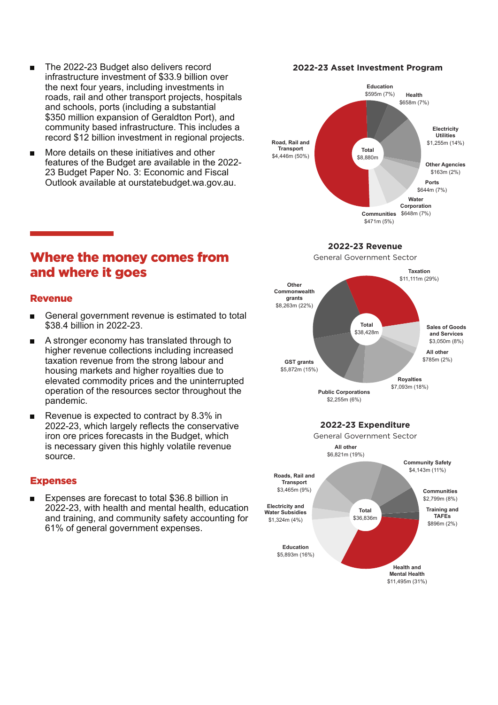- The 2022-23 Budget also delivers record infrastructure investment of \$33.9 billion over the next four years, including investments in roads, rail and other transport projects, hospitals and schools, ports (including a substantial \$350 million expansion of Geraldton Port), and community based infrastructure. This includes a record \$12 billion investment in regional projects.
- More details on these initiatives and other features of the Budget are available in the 2022- 23 Budget Paper No. 3: Economic and Fiscal Outlook available at ourstatebudget.wa.gov.au.

# Where the money comes from and where it goes

### Revenue

- General government revenue is estimated to total \$38.4 billion in 2022-23.
- A stronger economy has translated through to higher revenue collections including increased taxation revenue from the strong labour and housing markets and higher royalties due to elevated commodity prices and the uninterrupted operation of the resources sector throughout the pandemic.
- Revenue is expected to contract by 8.3% in 2022-23, which largely reflects the conservative iron ore prices forecasts in the Budget, which is necessary given this highly volatile revenue source.

#### Expenses

Expenses are forecast to total \$36.8 billion in 2022-23, with health and mental health, education and training, and community safety accounting for 61% of general government expenses.

#### **2022-23 Asset Investment Program**



#### **2022-23 Revenue**

General Government Sector



**Education** \$5,893m (16%) **Electricity and Water Subsidies** \$1,324m (4%) **Training and TAFEs** \$896m (2%) **Total** \$36,836m

> **Health and Mental Health** \$11,495m (31%)